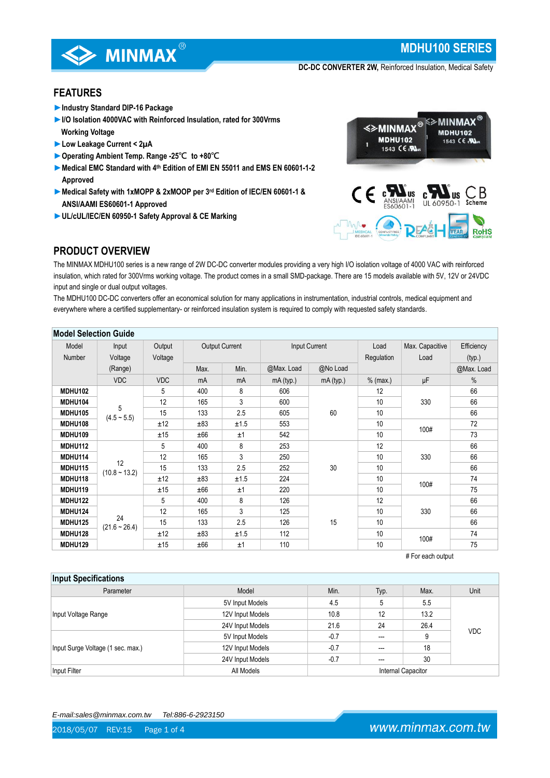

# **MDHU100 SERIES**

**DC-DC CONVERTER 2W,** Reinforced Insulation, Medical Safety

## **FEATURES**

- ►**Industry Standard DIP-16 Package**
- **►I/O Isolation 4000VAC with Reinforced Insulation, rated for 300Vrms Working Voltage**
- **►Low Leakage Current < 2µA**
- **►Operating Ambient Temp. Range -25℃ to +80℃**
- **►Medical EMC Standard with 4th Edition of EMI EN 55011 and EMS EN 60601-1-2 Approved**
- **►Medical Safety with 1xMOPP & 2xMOOP per 3rd Edition of IEC/EN 60601-1 & ANSI/AAMI ES60601-1 Approved**
- **►UL/cUL/IEC/EN 60950-1 Safety Approval & CE Marking**



## **PRODUCT OVERVIEW**

The MINMAX MDHU100 series is a new range of 2W DC-DC converter modules providing a very high I/O isolation voltage of 4000 VAC with reinforced insulation, which rated for 300Vrms working voltage. The product comes in a small SMD-package. There are 15 models available with 5V, 12V or 24VDC input and single or dual output voltages.

The MDHU100 DC-DC converters offer an economical solution for many applications in instrumentation, industrial controls, medical equipment and everywhere where a certified supplementary- or reinforced insulation system is required to comply with requested safety standards.

| <b>Model Selection Guide</b> |                       |            |                                        |      |            |                 |            |             |            |    |
|------------------------------|-----------------------|------------|----------------------------------------|------|------------|-----------------|------------|-------------|------------|----|
| Model                        | Input                 | Output     | <b>Output Current</b><br>Input Current |      | Load       | Max. Capacitive | Efficiency |             |            |    |
| Number                       | Voltage               | Voltage    |                                        |      | Regulation | Load            | (typ.)     |             |            |    |
|                              | (Range)               |            | Max.                                   | Min. | @Max. Load | @No Load        |            |             | @Max. Load |    |
|                              | <b>VDC</b>            | <b>VDC</b> | mA                                     | mA   | mA (typ.)  | mA (typ.)       | $%$ (max.) | μF          | $\%$       |    |
| <b>MDHU102</b>               |                       | 5          | 400                                    | 8    | 606        | 60              | 12         | 330<br>100# | 66         |    |
| <b>MDHU104</b>               |                       | 12         | 165                                    | 3    | 600        |                 | 10         |             | 66         |    |
| <b>MDHU105</b>               | 5<br>$(4.5 - 5.5)$    | 15         | 133                                    | 2.5  | 605        |                 | 10         |             | 66         |    |
| <b>MDHU108</b>               |                       | ±12        | ±83                                    | ±1.5 | 553        |                 | 10         |             | 72         |    |
| <b>MDHU109</b>               |                       | ±15        | ±66                                    | ±1   | 542        |                 | 10         |             | 73         |    |
| <b>MDHU112</b>               | 12<br>$(10.8 - 13.2)$ | 5          | 400                                    | 8    | 253        |                 | 12         |             | 66         |    |
| MDHU114                      |                       | 12         | 165                                    | 3    | 250        |                 | 10         | 330         | 66         |    |
| MDHU115                      |                       | 15         | 133                                    | 2.5  | 252        | 30              | 10         |             | 66         |    |
| MDHU118                      |                       | ±12        | ±83                                    | ±1.5 | 224        |                 | 10         | 100#        | 74         |    |
| MDHU119                      |                       | ±15        | ±66                                    | ±1   | 220        |                 | 10         |             | 75         |    |
| <b>MDHU122</b>               |                       | 5          | 400                                    | 8    | 126        |                 | 12         | 330         | 66         |    |
| <b>MDHU124</b>               | 24<br>$(21.6 - 26.4)$ | 12         | 165                                    | 3    | 125        |                 | 10         |             | 66         |    |
| <b>MDHU125</b>               |                       | 15         | 133                                    | 2.5  | 126        | 15              | 10         |             | 66         |    |
| MDHU128                      |                       | ±12        | ±83                                    | ±1.5 | 112        |                 | 10         |             | 100#       | 74 |
| <b>MDHU129</b>               |                       | ±15        | ±66                                    | ±1   | 110        |                 | 10         |             | 75         |    |

# For each output

| <b>Input Specifications</b>       |                  |        |                           |      |            |  |
|-----------------------------------|------------------|--------|---------------------------|------|------------|--|
| Parameter                         | Model            | Min.   | Typ.                      | Max. | Unit       |  |
|                                   | 5V Input Models  | 4.5    | 5                         | 5.5  |            |  |
| Input Voltage Range               | 12V Input Models | 10.8   | 12                        | 13.2 |            |  |
|                                   | 24V Input Models | 21.6   | 24                        | 26.4 | <b>VDC</b> |  |
|                                   | 5V Input Models  | $-0.7$ | $---$                     | 9    |            |  |
| Input Surge Voltage (1 sec. max.) | 12V Input Models | $-0.7$ | ---                       | 18   |            |  |
|                                   | 24V Input Models | $-0.7$ | ---                       | 30   |            |  |
| Input Filter                      | All Models       |        | <b>Internal Capacitor</b> |      |            |  |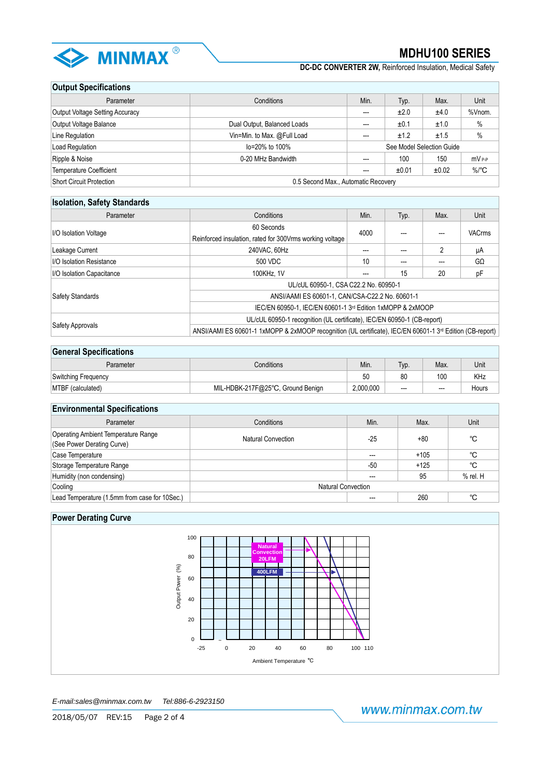

**DC-DC CONVERTER 2W,** Reinforced Insulation, Medical Safety

## **Output Specifications**

| Parameter                       | Conditions                          | Min. | Typ.                      | Max.  | Unit                |
|---------------------------------|-------------------------------------|------|---------------------------|-------|---------------------|
| Output Voltage Setting Accuracy |                                     | ---  | ±2.0                      | ±4.0  | %Vnom.              |
| <b>Output Voltage Balance</b>   | Dual Output, Balanced Loads         | ---  | ±0.1                      | ±1.0  | $\frac{0}{0}$       |
| Line Regulation                 | Vin=Min. to Max. @Full Load         | ---  | ±1.2                      | ±1.5  | %                   |
| Load Regulation                 | lo=20% to 100%                      |      | See Model Selection Guide |       |                     |
| Ripple & Noise                  | 0-20 MHz Bandwidth                  | ---  | 100                       | 150   | $mV_{P-P}$          |
| Temperature Coefficient         |                                     | ---  | ±0.01                     | ±0.02 | $\%$ <sup>°</sup> C |
| Short Circuit Protection        | 0.5 Second Max., Automatic Recovery |      |                           |       |                     |

## **Isolation, Safety Standards**

| Parameter                       | Conditions                                                                                                            | Min. | Typ. | Max. | Unit          |  |  |
|---------------------------------|-----------------------------------------------------------------------------------------------------------------------|------|------|------|---------------|--|--|
|                                 | 60 Seconds                                                                                                            | 4000 |      |      | <b>VACrms</b> |  |  |
| I/O Isolation Voltage           | Reinforced insulation, rated for 300 Vrms working voltage                                                             |      |      |      |               |  |  |
| Leakage Current                 | 240VAC, 60Hz                                                                                                          | ---  |      | c    | μA            |  |  |
| <b>I/O Isolation Resistance</b> | 500 VDC                                                                                                               | 10   | ---  |      | $G\Omega$     |  |  |
| I/O Isolation Capacitance       | 100KHz, 1V                                                                                                            | ---  | 15   | 20   | pF            |  |  |
|                                 | UL/cUL 60950-1, CSA C22.2 No. 60950-1                                                                                 |      |      |      |               |  |  |
| <b>Safety Standards</b>         | ANSI/AAMI ES 60601-1, CAN/CSA-C22.2 No. 60601-1                                                                       |      |      |      |               |  |  |
|                                 | IEC/EN 60950-1, IEC/EN 60601-1 3rd Edition 1xMOPP & 2xMOOP                                                            |      |      |      |               |  |  |
|                                 | UL/cUL 60950-1 recognition (UL certificate), IEC/EN 60950-1 (CB-report)                                               |      |      |      |               |  |  |
| Safety Approvals                | ANSI/AAMI ES 60601-1 1xMOPP & 2xMOOP recognition (UL certificate), IEC/EN 60601-1 3 <sup>rd</sup> Edition (CB-report) |      |      |      |               |  |  |

## **General Specifications**

| ------------------------- |                                   |           |       |       |       |  |
|---------------------------|-----------------------------------|-----------|-------|-------|-------|--|
| Parameter                 | Conditions                        | Min.      | lyp.  | Max.  | Unit  |  |
| Switching Frequency       |                                   | 50        | 80    | 100   | KHz   |  |
| MTBF (calculated)         | MIL-HDBK-217F@25°C, Ground Benign | 2,000,000 | $---$ | $---$ | Hours |  |

## **Environmental Specifications**

| Parameter                                                                | Conditions                | Min.  | Max.   | Unit         |  |  |
|--------------------------------------------------------------------------|---------------------------|-------|--------|--------------|--|--|
| <b>Operating Ambient Temperature Range</b><br>(See Power Derating Curve) | Natural Convection        | $-25$ | $+80$  | °C           |  |  |
| Case Temperature                                                         |                           | ---   | $+105$ | °C           |  |  |
| Storage Temperature Range                                                |                           | $-50$ | $+125$ | °C           |  |  |
| Humidity (non condensing)                                                |                           |       | 95     | $%$ rel. $H$ |  |  |
| Cooling                                                                  | <b>Natural Convection</b> |       |        |              |  |  |
| Lead Temperature (1.5mm from case for 10Sec.)                            |                           |       | 260    | °C           |  |  |

## **Power Derating Curve**



*E-mail:sales@minmax.com.tw Tel:886-6-2923150*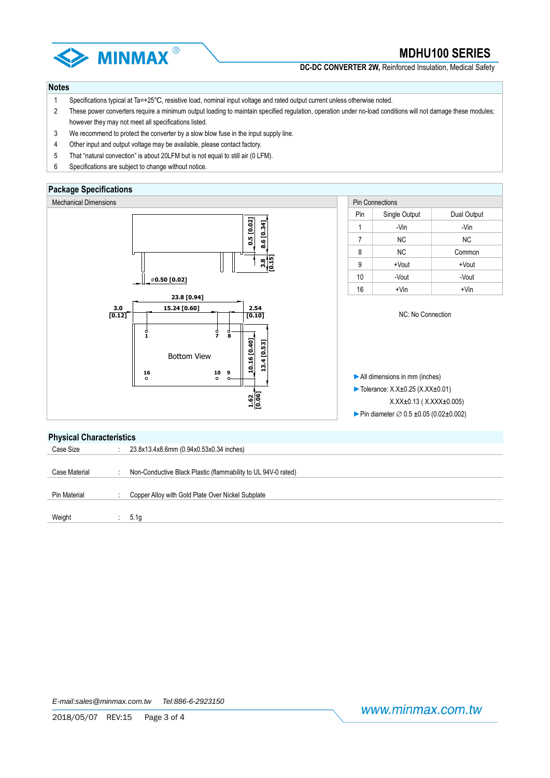

**DC-DC CONVERTER 2W.** Reinforced Insulation, Medical Safety

#### **Notes**

- 1 Specifications typical at Ta=+25℃, resistive load, nominal input voltage and rated output current unless otherwise noted.
- 2 These power converters require a minimum output loading to maintain specified regulation, operation under no-load conditions will not damage these modules; however they may not meet all specifications listed.
- 3 We recommend to protect the converter by a slow blow fuse in the input supply line.
- 4 Other input and output voltage may be available, please contact factory.
- 5 That "natural convection" is about 20LFM but is not equal to still air (0 LFM).
- 6 Specifications are subject to change without notice.

### **Package Specifications**



#### **Physical Characteristics**

| Case Size     | 23.8x13.4x8.6mm (0.94x0.53x0.34 inches)                       |
|---------------|---------------------------------------------------------------|
|               |                                                               |
| Case Material | Non-Conductive Black Plastic (flammability to UL 94V-0 rated) |
|               |                                                               |
| Pin Material  | Copper Alloy with Gold Plate Over Nickel Subplate             |
|               |                                                               |
| Weight        | 5.1g                                                          |
|               |                                                               |

www.minmax.com.tw